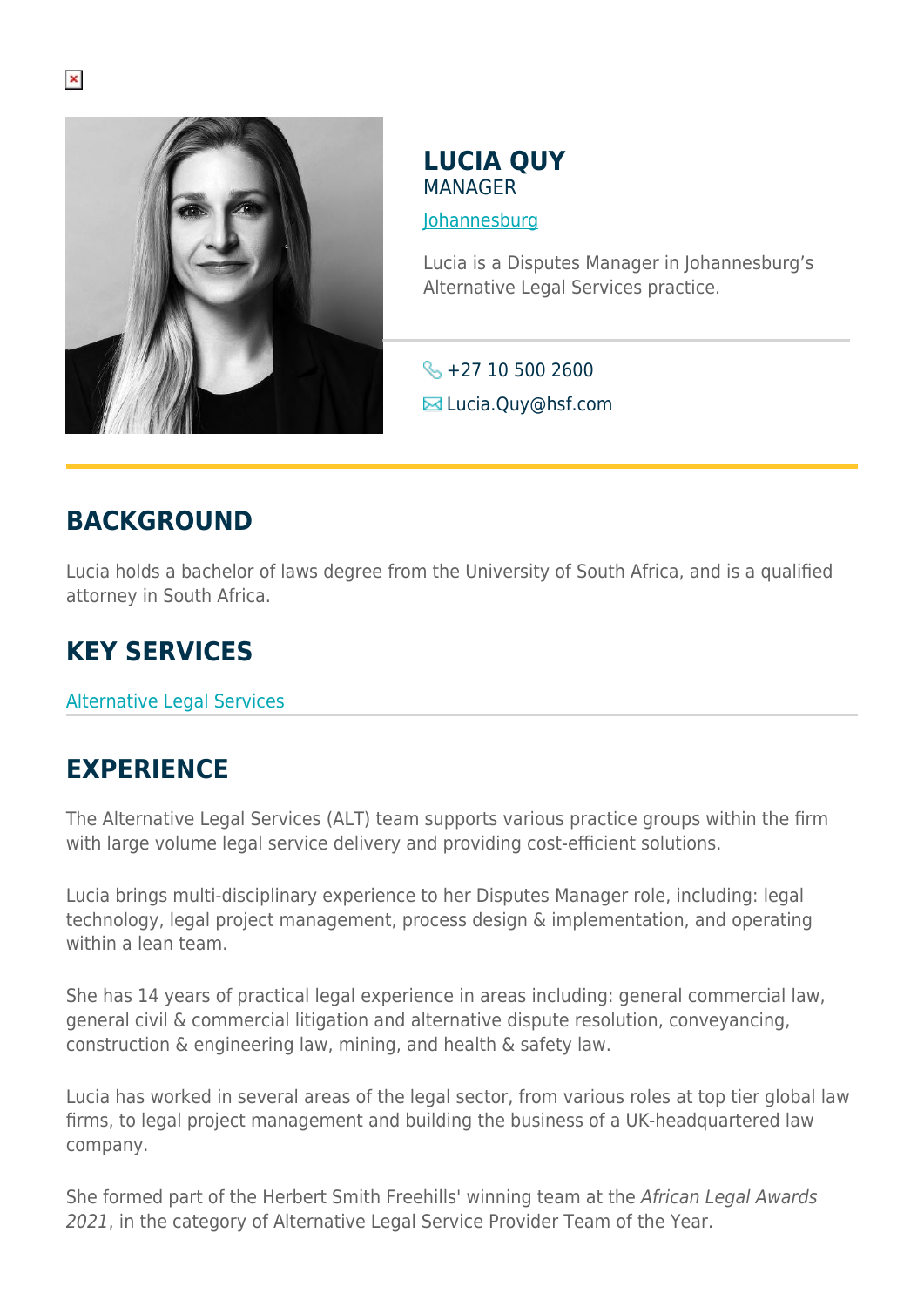

**LUCIA QUY MANAGER** 

[Johannesburg](https://www.herbertsmithfreehills.com/where-we-work/johannesburg)

Lucia is a Disputes Manager in Johannesburg's Alternative Legal Services practice.

 $\leftarrow +27 10 500 2600$ **E**Lucia.Quy@hsf.com

## **BACKGROUND**

Lucia holds a bachelor of laws degree from the University of South Africa, and is a qualified attorney in South Africa.

## **KEY SERVICES**

Alternative Legal Services

## **EXPERIENCE**

The Alternative Legal Services (ALT) team supports various practice groups within the firm with large volume legal service delivery and providing cost-efficient solutions.

Lucia brings multi-disciplinary experience to her Disputes Manager role, including: legal technology, legal project management, process design & implementation, and operating within a lean team.

She has 14 years of practical legal experience in areas including: general commercial law, general civil & commercial litigation and alternative dispute resolution, conveyancing, construction & engineering law, mining, and health & safety law.

Lucia has worked in several areas of the legal sector, from various roles at top tier global law firms, to legal project management and building the business of a UK-headquartered law company.

She formed part of the Herbert Smith Freehills' winning team at the African Legal Awards 2021, in the category of Alternative Legal Service Provider Team of the Year.